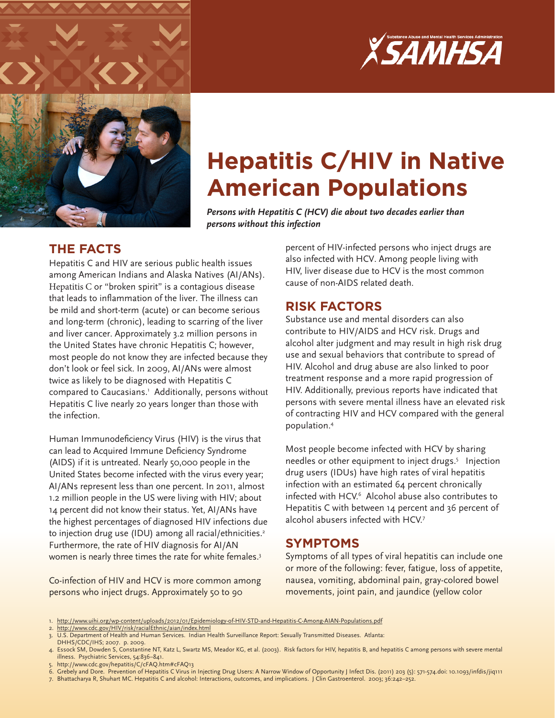



# **Hepatitis C/HIV in Native American Populations**

*Persons with Hepatitis C (HCV) die about two decades earlier than persons without this infection*

# **THE FACTS**

Hepatitis C and HIV are serious public health issues among American Indians and Alaska Natives (AI/ANs). Hepatitis C or "broken spirit" is a contagious disease that leads to inflammation of the liver. The illness can be mild and short-term (acute) or can become serious and long-term (chronic), leading to scarring of the liver and liver cancer. Approximately 3.2 million persons in the United States have chronic Hepatitis C; however, most people do not know they are infected because they don't look or feel sick. In 2009, AI/ANs were almost twice as likely to be diagnosed with Hepatitis C compared to Caucasians.<sup>1</sup> Additionally, persons without Hepatitis C live nearly 20 years longer than those with the infection.

Human Immunodeficiency Virus (HIV) is the virus that can lead to Acquired Immune Deficiency Syndrome (AIDS) if it is untreated. Nearly 50,000 people in the United States become infected with the virus every year; AI/ANs represent less than one percent. In 2011, almost 1.2 million people in the US were living with HIV; about 14 percent did not know their status. Yet, AI/ANs have the highest percentages of diagnosed HIV infections due to injection drug use (IDU) among all racial/ethnicities.<sup>2</sup> Furthermore, the rate of HIV diagnosis for AI/AN women is nearly three times the rate for white females.<sup>3</sup>

Co-infection of HIV and HCV is more common among persons who inject drugs. Approximately 50 to 90

percent of HIV-infected persons who inject drugs are also infected with HCV. Among people living with HIV, liver disease due to HCV is the most common cause of non-AIDS related death.

## **RISK FACTORS**

Substance use and mental disorders can also contribute to HIV/AIDS and HCV risk. Drugs and alcohol alter judgment and may result in high risk drug use and sexual behaviors that contribute to spread of HIV. Alcohol and drug abuse are also linked to poor treatment response and a more rapid progression of HIV. Additionally, previous reports have indicated that persons with severe mental illness have an elevated risk of contracting HIV and HCV compared with the general population.4

Most people become infected with HCV by sharing needles or other equipment to inject drugs.<sup>5</sup> Injection drug users (IDUs) have high rates of viral hepatitis infection with an estimated 64 percent chronically infected with HCV.6 Alcohol abuse also contributes to Hepatitis C with between 14 percent and 36 percent of alcohol abusers infected with HCV.7

# **SYMPTOMS**

Symptoms of all types of viral hepatitis can include one or more of the following: fever, fatigue, loss of appetite, nausea, vomiting, abdominal pain, gray-colored bowel movements, joint pain, and jaundice (yellow color

- 5. <http://www.cdc.gov/hepatitis/C/cFAQ.htm#cFAQ13>
- 6. Grebely and Dore. Prevention of Hepatitis C Virus in Injecting Drug Users: A Narrow Window of Opportunity J Infect Dis. (2011) 203 (5): 571-574.doi: 10.1093/infdis/jiq111

<sup>1.</sup> <http://www.uihi.org/wp-content/uploads/2012/01/Epidemiology-of-HIV-STD-and-Hepatitis-C-Among-AIAN-Populations.pdf>

<sup>2.</sup> <http://www.cdc.gov/HIV/risk/racialEthnic/aian/index.html>

<sup>3.</sup> U.S. Department of Health and Human Services. Indian Health Surveillance Report: Sexually Transmitted Diseases. Atlanta:

DHHS/CDC/IHS; 2007. p. 2009. 4. Essock SM, Dowden S, Constantine NT, Katz L, Swartz MS, Meador KG, et al. (2003). Risk factors for HIV, hepatitis B, and hepatitis C among persons with severe mental illness. Psychiatric Services, 54:836–841.

<sup>7.</sup> Bhattacharya R, Shuhart MC. Hepatitis C and alcohol: Interactions, outcomes, and implications. J Clin Gastroenterol. 2003; 36:242–252.